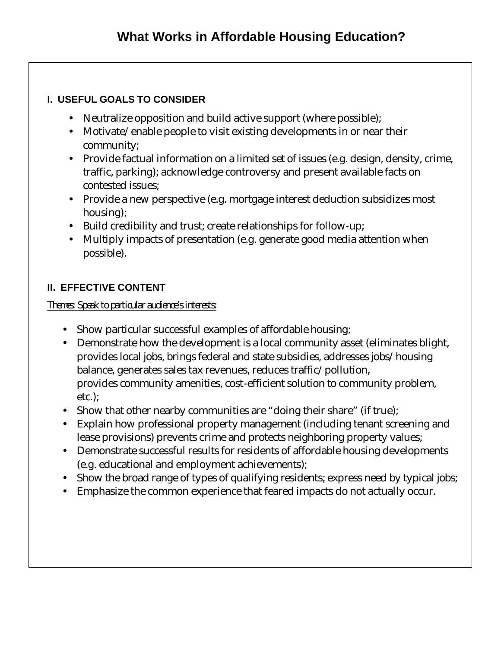## **I. USEFUL GOALS TO CONSIDER**

- Neutralize opposition and build active support (where possible);
- Motivate/enable people to visit existing developments in or near their community;
- · Provide factual information on a limited set of issues (e.g. design, density, crime, traffic, parking); acknowledge controversy and present available facts on contested issues;
- · Provide a new perspective (e.g. mortgage interest deduction subsidizes most housing);
- · Build credibility and trust; create relationships for follow-up;
- · Multiply impacts of presentation (e.g. generate good media attention when possible).

## **II. EFFECTIVE CONTENT**

*Themes: Speak to particular audience's interests:* 

- · Show particular successful examples of affordable housing;
- · Demonstrate how the development is a local community asset (eliminates blight, provides local jobs, brings federal and state subsidies, addresses jobs/housing balance, generates sales tax revenues, reduces traffic/pollution, provides community amenities, cost-efficient solution to community problem, etc.);
- Show that other nearby communities are "doing their share" (if true);
- · Explain how professional property management (including tenant screening and lease provisions) prevents crime and protects neighboring property values;
- · Demonstrate successful results for residents of affordable housing developments (e.g. educational and employment achievements);
- Show the broad range of types of qualifying residents; express need by typical jobs;
- · Emphasize the common experience that feared impacts do not actually occur.